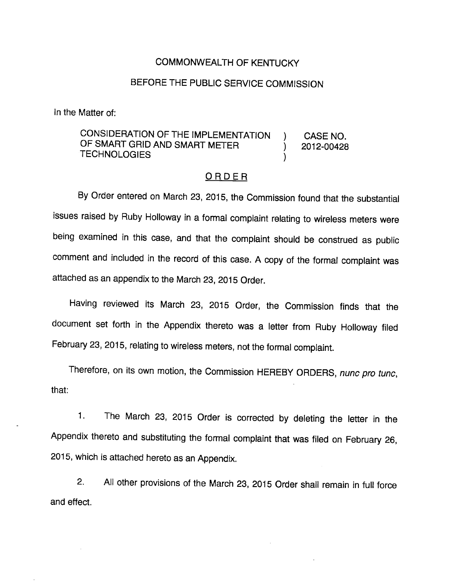#### COMMONWEALTH OF KENTUCKY

### BEFORE THE PUBLIC SERVICE COMMISSION

In the Matter of:

CONSIDERATION OF THE IMPLEMENTATION ) CASE NO. OF SMART GRID AND SMART METER  $\overline{2012-00428}$ **TECHNOLOGIES** 

#### ORDER

By Order entered on March 23, 2015, the Commission found that the substantial issues raised by Ruby Holloway in a formal complaint relating to wireless meters were being examined in this case, and that the complaint should be construed as public comment and included in the record of this case. A copy of the formal complaint was attached as an appendix to the March 23, 2015 Order.

Having reviewed its March 23, 2015 Order, the Commission finds that the document set forth in the Appendix thereto was a letter from Ruby Holloway filed February 23, 2015, relating to wireless meters, not the formal complaint.

Therefore, on its own motion, the Commission HEREBY ORDERS, nunc pro tunc, that:

1. The March 23, 2015 Order is corrected by deleting the letter in the Appendix thereto and substituting the formal complaint that was filed on February 26, 2015, which is attached hereto as an Appendix.

2. All other provisions of the March 23, 2015 Order shall remain in full force and effect.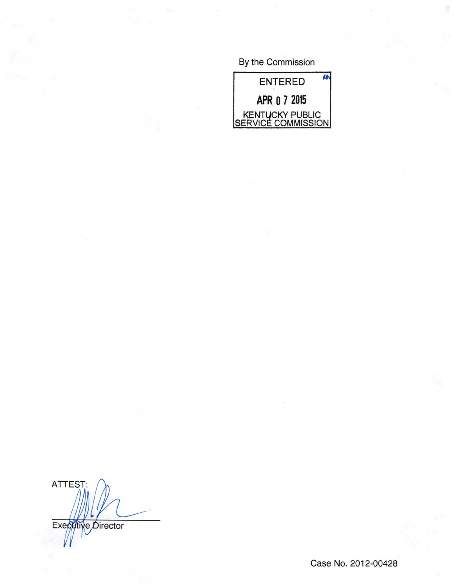By the Commission



ATTEST: Executive Director

Case No. 2012-00428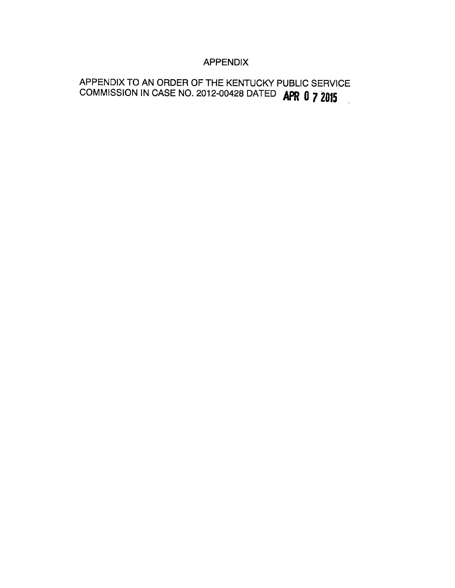### APPENDIX

## APPENDIX TO AN ORDER OF THE KENTUCKY PUBLIC SERVICE COMMISSION IN CASE NO. 2012-00428 DATED **APR 0 7 2015**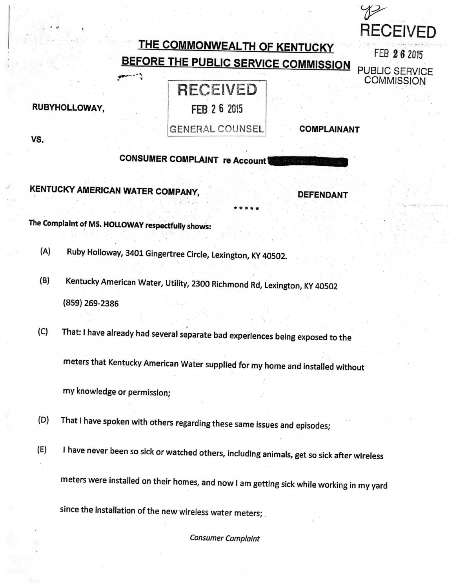# THE COMMONWEALTH OF KENTUCKY BEFORE THE PUBLIC SERVICE COMMISSION

# RECEIVED FEB 2 6 2015

GENERAL COUNSEL COMPLAINANT

**RECEIVED** 

FEB 26 2015

PUBLIC SERVICE **COMMISSION** 

CONSUMER COMPLAINT re Account

KENTUCKY AMERICAN WATER COMPANY, DEFENDANT

The Complaint of MS. HOLLOWAY respectfully shows:

په د نور.<br>په

- (A) Ruby Holloway, 3401 Gingertree Circle, Lexington, KY 40502.
- (B) Kentucky American Water, Utility, 2300 Richmond Rd, Lexington, KY 40502 (859)269-2386
- (C) That: I have already had several separate bad experiences being exposed to the

meters that Kentucky American Water supplied for my home and installed without

myknowledge or permission;

- (D) That ihave spoken with others regarding these same issues and episodes;
- (E) Ihave never been so sick or watched others, including animals, get so sick after wireless meters were installed on their homes, and now Iam getting sick while working in my yard since the installation of the new wireless water meters;

Consumer Complaint

VS.

RUBYHOLLOWAY,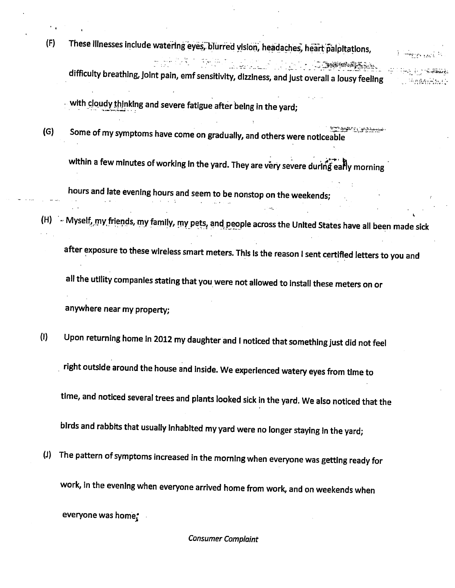(F) These illnesses include watering eyes, blurred yision, headaches, heart palpitations, difficulty breathing,Joint pain, emfsensitivity, dizziness, and Just overall alousy feeling  $\mathcal{L}^{\text{L}}(t)$ 

راويرو الجوادفة

with cloudy thinking and severe fatigue after being in the yard;

(G) Some of my symptoms have come on gradually, and others were noticeable^""' "

within a few minutes of working in the yard. They are very severe during early morning

hours and late evening hours and seem to be nonstop on the weekends;

(H) ~ Myself, my friends, my family, my pets, and people across the United States have all been made sick

after exposure to these wireless smart meters. This is the reason I sent certified letters to you and all the utility companies stating that you were not allowed to install these meters on or anywhere near my property;

- (I) Upon returning home in 2012 my daughter and I noticed that something just did not feel right outside around the house and inside. We experienced watery eyes from time to time, and noticed several trees and plants looked sick in the yard. We also noticed that the birds and rabbits that usually inhabited my yard were no longer staying in the yard;
- (J) The pattern of symptoms increased in the morning when everyone was getting ready for work, in the evening when everyone arrived home from work, and on weekends when everyone was home^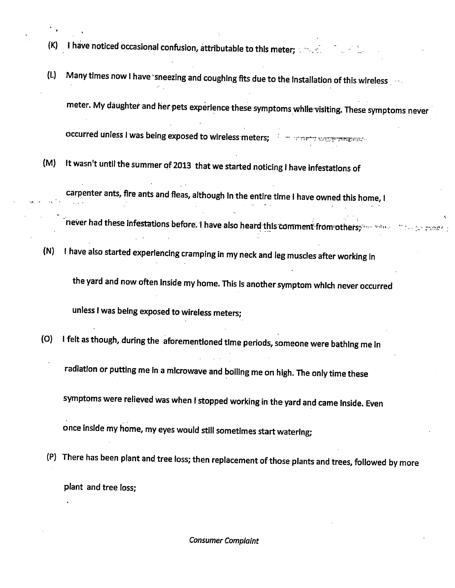(K) I have noticed occasional confusion, attributable to this meter;  $\mathbb{R}$  ,  $\mathbb{R}$ 

(L) Many times now I have sneezing and coughing fits due to the installation of this wireless meter. My daughter and her pets experience these symptoms while visiting. These symptoms never

occurred unless I was being exposed to wireless meters;

(M) It wasn't until the summer of 2013 that we started noticing ihave infestations of

carpenter ants, fire ants and fleas, although In the entire time Ihave owned this home, I

never had these infestations before. I have also heard this comment from others; " we we

(N) Ihave also started experiencing cramping in my neck and leg muscles after working in

the yard and now often inside my home. This is another symptom which never occurred

unless I was being exposed to wireless meters;

- (O) Ifelt as though, during the aforementioned time periods, someone were bathing me in radiation or putting me in amicrowave and boiling me on high. The only time these symptoms were relieved was when I stopped working in the yard and came inside. Even once inside my home, my eyes would still sometimes start watering;
	- (P) There has been plant and tree loss; then replacement ofthose plants and trees, followed by more plant and tree loss;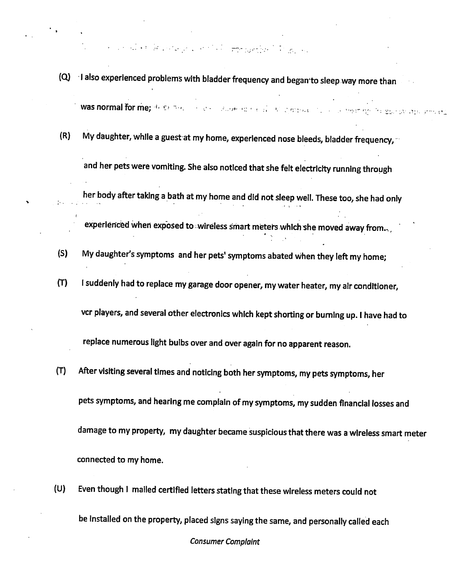of the property of the state of the second

- (Q) I also experienced problems with bladder frequency and began to sleep way more than was normal for me;  $4r \leq r \leq r$  , and  $r \leq r$  , and  $r \in r$  ,  $r \in r$  , and  $r \in r$
- $(R)$  My daughter, while a guest at my home, experienced nose bleeds, bladder frequency, and her pets were vomiting. She also noticed that she felt electricity running through her body after taking a bath at my home and did not sleep well. These too, she had only

experienced when exposed to wireless smart meters which she moved away from...,

(5) My daughter's symptoms and her pets' symptoms abated when they left my home;

If  $\mathbf{r} = \mathbf{r} \cdot \mathbf{r}$  is a set of the set of the set of the set of the set of the set of the set of the set of the set of the set of the set of the set of the set of the set of the set of the set of the set of the se

- (T) Isuddenly had to replace my garage door opener, my water heater, my air conditioner, vcr players, and several other electronics which kept shorting or burning up. I have had to replace numerous light bulbs over and over again for no apparent reason.
- (T) After visiting several times and noticing both her symptoms, my pets symptoms, her pets symptoms, and hearing me complain of my symptoms, my sudden financial losses and damage to my property, my daughter became suspicious that there was a wireless smart meter connected to my home.
- (U) Even though I mailed certified letters stating that these wireless meters could not be installed on the property, placed signs saying the same, and personally called each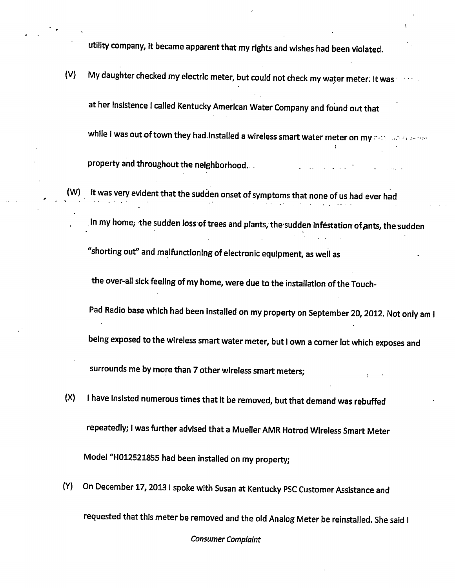utility company, it became apparent that my rights and wishes had been violated.

- (V) My daughter checked my electric meter, but could not check my water meter. It was at her insistence I called Kentucky American Water Company and found out that while I was out of town they had.Installed a wireless smart water meter on my  $\sim$ ) property and throughout the neighborhood. .
	- It was very evident that the sudden onset of symptoms that none of us had ever had
		- In my home; the sudden loss of trees and plants, the sudden infestation of ants, the sudden

"shorting out" and malfunctioning of electronic equipment, as well as

the over-all sick feeling of my home, were due to the installation of the Touch-

Pad Radio base which had been installed on my property on September 20, 2012. Not only am I

being exposed to the wireless smart water meter, but I own a corner lot which exposes and

surrounds me by more than 7 other wireless smart meters;

- $(X)$  I have Insisted numerous times that it be removed, but that demand was rebuffed repeatedly; Iwas further advised that a Mueller AMR Hotrod Wireless Smart Meter Model "H012521855 had been Installed on my property;
- (Y) On December 17,2013 Ispoke with Susan at Kentucky PSC Customer Assistance and

requested that this meter be removed and the old Analog Meter be reinstalled. She said I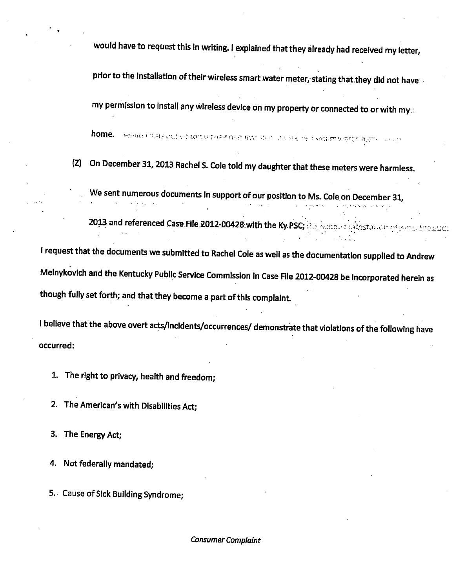would have to request this in writing. I explained that they already had received my letter,

prior to the installation of their wireless smart water meter, stating that they did not have

my permission to install any wireless device on my property or connected to or with my:

home. I like the country of the control of the control of a control of a source were next

(Z) On December 31,2013 Rachel S. Cole told my daughter that these meters were harmless.

We sent numerous documents In support of our position to Ms. Cole on December 31,

2013 and referenced Case.File.2012-00428 with the Ky PSC; and water and path and property dependent

Irequest that the documents we submitted to Rachel Cole as well as the documentation supplied to Andrew Melnykovich and the Kentucky Public Service Commission in Case Rle 2012-00428 be incorporated herein as though fully set forth; and that they become a part of this complaint.

I believe that the above overt acts/incidents/occurrences/ demonstrate that violations of the following have occurred:

1. The right to privacy, health and freedom;

2. The American's with Disabilities Act;

3. The Energy Act;

4. Not federally mandated;

5. Cause of Sick Building Syndrome;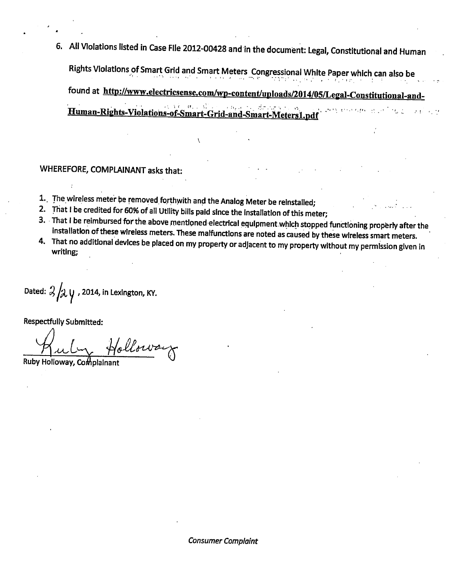6. All Violations listed in Case File 2012-00428 and in the document: Legal, Constitutional and Human Rights Violations ofSmart Grid and Smart Meters Congressional White Paper which can also be found at http://www.electricsense.com/wp-content/uploads/2014/05/Legal-Constitutional-and-Human-Rights-Violations-of-Smart-Grid-and-Smart-Meters1.pdf

WHEREFORE, COMPLAINANT asks that:

- 1.. The wireless meter be removed forthwith and the Analog Meter be reinstalled;
- 2. That I be credited for 60% of all Utility bills paid since the installation of this meter;
- 3. That I be reimbursed for the above mentioned electrical equipment which stopped functioning properly after the installation of these wireless meters. These malfunctions are noted as caused by these wireless smart meters.
- 4. That no additional devices be placed on my property or adjacent to my property without my permission given in writing;

Dated:  $3/\lambda y$ , 2014, in Lexington, KY.

Respectfully Submitted:

Ruby Holloway, Complainant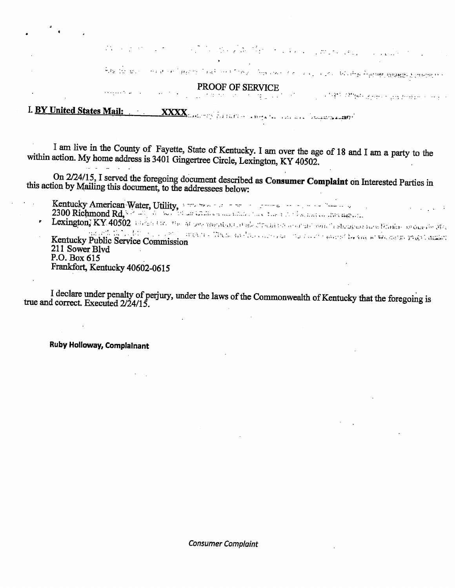e die Karlin von Kerk van die Bart van Stelle volgen

ה משפח המשפח המשפח המוליקה בין המינויות המינויות המוניקה במולידות המולידות המוניקה בין המומידה מוניקה המוניקה ב

PROOF OF SERVICE

د الرابط الرابط <del>و و</del>ينتج الإنتراع التجمع في الأقوال 2011 م 1941 من التي التي التي التي ال  $\mathcal{F}^{\bullet}_{\mathbf{Z}}$  , and  $\mathcal{F}^{\bullet}_{\mathbf{Z}}$ L BY United States Mail: WXXX Englished States And the constitution of the states of the states of the states of the states of the states of the states of the states of the states of the states of the states of the states

أودعا الزوادات والموافقتيهما

I am live in the County of Fayette, State of Kentucky. I am over the age of 18 and I am a party to the within action. My home address is 3401 Gingertree Circle, Lexington, KY 40502.

On 2/24/15, I served the foregoing document described as Consumer Complaint on Interested Parties in this action by Mailing this document, to the addressees below:

Kentucky American Water, Utility, a strategie of 2300 Richmond Rd,  $\frac{1}{2}$ . The contraction of the state of the state of the state of the state of the state of the state of the state of the state of the state of the stat

Kentucky Public Service Commission >• jakos and also consumed the condition of the central part and a 211 Sower Blvd P.O. Box 615

Frankfort, Kentucky 40602-0615

I declare under penalty of perjury, under the laws of the Commonwealth of Kentucky that the foregoing is true and correct. Executed  $2/24/15$ .

Ruby Holloway, Complainant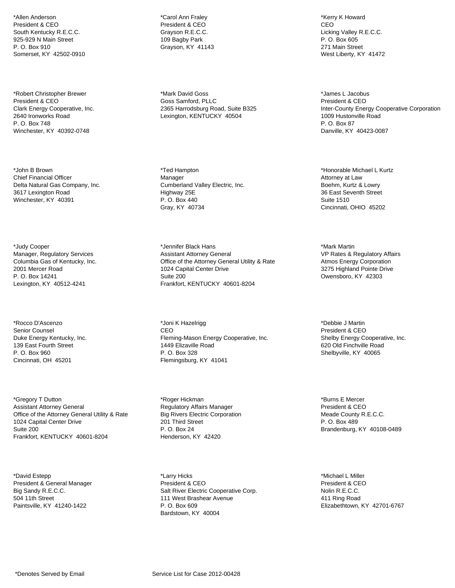\*Allen Anderson President & CEO South Kentucky R.E.C.C. 925-929 N Main Street P. O. Box 910 Somerset, KY 42502-0910

\*Robert Christopher Brewer President & CEO Clark Energy Cooperative, Inc. 2640 Ironworks Road P. O. Box 748 Winchester, KY 40392-0748

\*John B Brown Chief Financial Officer Delta Natural Gas Company, Inc. 3617 Lexington Road Winchester, KY 40391

\*Judy Cooper Manager, Regulatory Services Columbia Gas of Kentucky, Inc. 2001 Mercer Road P. O. Box 14241 Lexington, KY 40512-4241

\*Rocco D'Ascenzo Senior Counsel Duke Energy Kentucky, Inc. 139 East Fourth Street P. O. Box 960 Cincinnati, OH 45201

\*Gregory T Dutton Assistant Attorney General Office of the Attorney General Utility & Rate 1024 Capital Center Drive Suite 200 Frankfort, KENTUCKY 40601-8204

\*David Estepp President & General Manager Big Sandy R.E.C.C. 504 11th Street Paintsville, KY 41240-1422

\*Carol Ann Fraley President & CEO Grayson R.E.C.C. 109 Bagby Park Grayson, KY 41143

\*Mark David Goss Goss Samford, PLLC 2365 Harrodsburg Road, Suite B325 Lexington, KENTUCKY 40504

\*Ted Hampton Manager Cumberland Valley Electric, Inc. Highway 25E P. O. Box 440 Gray, KY 40734

\*Jennifer Black Hans Assistant Attorney General Office of the Attorney General Utility & Rate 1024 Capital Center Drive Suite 200 Frankfort, KENTUCKY 40601-8204

\*Joni K Hazelrigg CEO Fleming-Mason Energy Cooperative, Inc. 1449 Elizaville Road P. O. Box 328 Flemingsburg, KY 41041

\*Roger Hickman Regulatory Affairs Manager Big Rivers Electric Corporation 201 Third Street P. O. Box 24 Henderson, KY 42420

\*Larry Hicks President & CEO Salt River Electric Cooperative Corp. 111 West Brashear Avenue P. O. Box 609 Bardstown, KY 40004

\*Kerry K Howard CEO Licking Valley R.E.C.C. P. O. Box 605 271 Main Street West Liberty, KY 41472

\*James L Jacobus President & CEO Inter-County Energy Cooperative Corporation 1009 Hustonville Road P. O. Box 87 Danville, KY 40423-0087

\*Honorable Michael L Kurtz Attorney at Law Boehm, Kurtz & Lowry 36 East Seventh Street Suite 1510 Cincinnati, OHIO 45202

\*Mark Martin VP Rates & Regulatory Affairs Atmos Energy Corporation 3275 Highland Pointe Drive Owensboro, KY 42303

\*Debbie J Martin President & CEO Shelby Energy Cooperative, Inc. 620 Old Finchville Road Shelbyville, KY 40065

\*Burns E Mercer President & CEO Meade County R.E.C.C. P. O. Box 489 Brandenburg, KY 40108-0489

\*Michael L Miller President & CEO Nolin R.E.C.C. 411 Ring Road Elizabethtown, KY 42701-6767